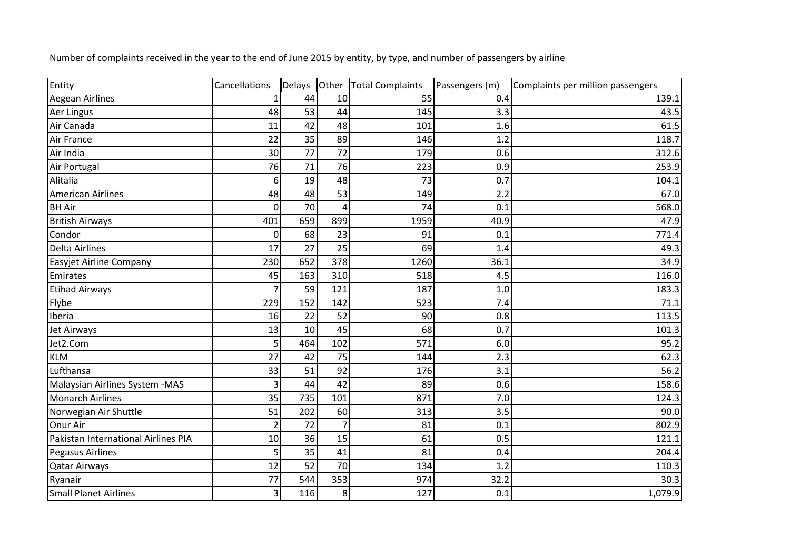| Entity                              | Cancellations  | <b>Delays</b> |                | Other Total Complaints | Passengers (m) | Complaints per million passengers |
|-------------------------------------|----------------|---------------|----------------|------------------------|----------------|-----------------------------------|
| Aegean Airlines                     |                | 44            | 10             | 55                     | 0.4            | 139.1                             |
| Aer Lingus                          | 48             | 53            | 44             | 145                    | 3.3            | 43.5                              |
| Air Canada                          | 11             | 42            | 48             | 101                    | 1.6            | 61.5                              |
| Air France                          | 22             | 35            | 89             | 146                    | 1.2            | 118.7                             |
| Air India                           | 30             | 77            | 72             | 179                    | 0.6            | 312.6                             |
| Air Portugal                        | 76             | 71            | 76             | 223                    | 0.9            | 253.9                             |
| Alitalia                            | 6              | 19            | 48             | 73                     | 0.7            | 104.1                             |
| <b>American Airlines</b>            | 48             | 48            | 53             | 149                    | 2.2            | 67.0                              |
| <b>BH</b> Air                       | 0              | 70            | 4              | 74                     | 0.1            | 568.0                             |
| <b>British Airways</b>              | 401            | 659           | 899            | 1959                   | 40.9           | 47.9                              |
| Condor                              | 0              | 68            | 23             | 91                     | 0.1            | 771.4                             |
| <b>Delta Airlines</b>               | 17             | 27            | 25             | 69                     | 1.4            | 49.3                              |
| Easyjet Airline Company             | 230            | 652           | 378            | 1260                   | 36.1           | 34.9                              |
| Emirates                            | 45             | 163           | 310            | 518                    | 4.5            | 116.0                             |
| <b>Etihad Airways</b>               | 7              | 59            | 121            | 187                    | 1.0            | 183.3                             |
| Flybe                               | 229            | 152           | 142            | 523                    | 7.4            | 71.1                              |
| Iberia                              | 16             | 22            | 52             | 90                     | 0.8            | 113.5                             |
| Jet Airways                         | 13             | 10            | 45             | 68                     | 0.7            | 101.3                             |
| Jet2.Com                            | 5              | 464           | 102            | 571                    | 6.0            | 95.2                              |
| <b>KLM</b>                          | 27             | 42            | 75             | 144                    | 2.3            | 62.3                              |
| Lufthansa                           | 33             | 51            | 92             | 176                    | 3.1            | 56.2                              |
| Malaysian Airlines System - MAS     | 3              | 44            | 42             | 89                     | 0.6            | 158.6                             |
| <b>Monarch Airlines</b>             | 35             | 735           | 101            | 871                    | 7.0            | 124.3                             |
| Norwegian Air Shuttle               | 51             | 202           | 60             | 313                    | 3.5            | 90.0                              |
| Onur Air                            | $\overline{2}$ | 72            | $\overline{7}$ | 81                     | 0.1            | 802.9                             |
| Pakistan International Airlines PIA | 10             | 36            | 15             | 61                     | 0.5            | 121.1                             |
| <b>Pegasus Airlines</b>             | 5              | 35            | 41             | 81                     | 0.4            | 204.4                             |
| <b>Qatar Airways</b>                | 12             | 52            | 70             | 134                    | 1.2            | 110.3                             |
| Ryanair                             | 77             | 544           | 353            | 974                    | 32.2           | 30.3                              |
| <b>Small Planet Airlines</b>        | 3              | 116           | 8              | 127                    | 0.1            | 1,079.9                           |

Number of complaints received in the year to the end of June 2015 by entity, by type, and number of passengers by airline